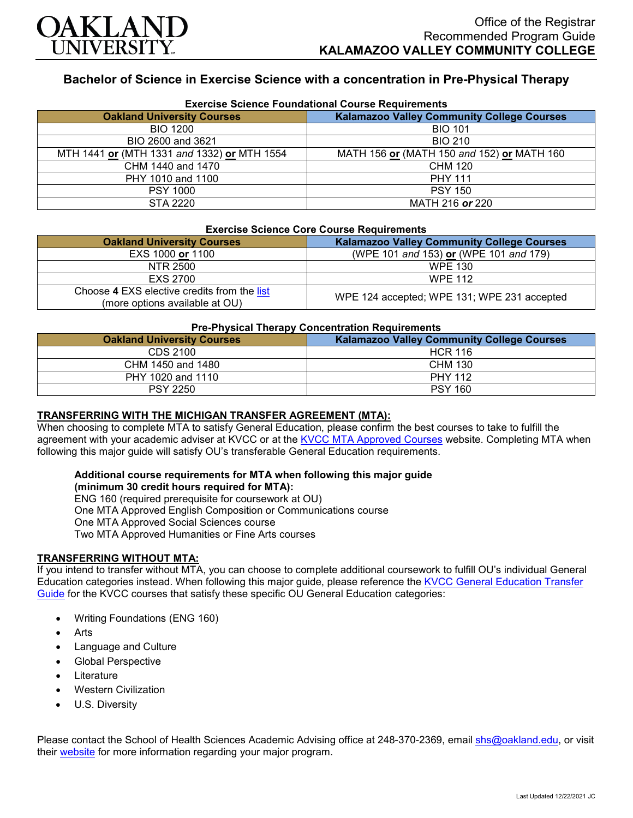

# **Bachelor of Science in Exercise Science with a concentration in Pre-Physical Therapy**

| <b>Exercise Science Foundational Course Requirements</b> |                                                   |  |
|----------------------------------------------------------|---------------------------------------------------|--|
| <b>Oakland University Courses</b>                        | <b>Kalamazoo Valley Community College Courses</b> |  |
| <b>BIO 1200</b>                                          | <b>BIO 101</b>                                    |  |
| BIO 2600 and 3621                                        | <b>BIO 210</b>                                    |  |
| MTH 1441 or (MTH 1331 and 1332) or MTH 1554              | MATH 156 or (MATH 150 and 152) or MATH 160        |  |
| CHM 1440 and 1470                                        | CHM 120                                           |  |
| PHY 1010 and 1100                                        | <b>PHY 111</b>                                    |  |
| <b>PSY 1000</b>                                          | <b>PSY 150</b>                                    |  |
| STA 2220                                                 | MATH 216 or 220                                   |  |

#### **Exercise Science Core Course Requirements**

| <b>Oakland University Courses</b>                                             | <b>Kalamazoo Valley Community College Courses</b> |
|-------------------------------------------------------------------------------|---------------------------------------------------|
| EXS 1000 or 1100                                                              | (WPE 101 and 153) or (WPE 101 and 179)            |
| NTR 2500                                                                      | WPE 130                                           |
| EXS 2700                                                                      | <b>WPE 112</b>                                    |
| Choose 4 EXS elective credits from the list<br>(more options available at OU) | WPE 124 accepted; WPE 131; WPE 231 accepted       |

#### **Pre-Physical Therapy Concentration Requirements**

| <b>Oakland University Courses</b> | <b>Kalamazoo Valley Community College Courses</b> |
|-----------------------------------|---------------------------------------------------|
| CDS 2100                          | <b>HCR 116</b>                                    |
| CHM 1450 and 1480                 | <b>CHM 130</b>                                    |
| PHY 1020 and 1110                 | <b>PHY 112</b>                                    |
| <b>PSY 2250</b>                   | <b>PSY 160</b>                                    |

## **TRANSFERRING WITH THE MICHIGAN TRANSFER AGREEMENT (MTA):**

When choosing to complete MTA to satisfy General Education, please confirm the best courses to take to fulfill the agreement with your academic adviser at KVCC or at the [KVCC MTA Approved Courses](https://www.kvcc.edu/programs/mta.php) website. Completing MTA when following this major guide will satisfy OU's transferable General Education requirements.

## **Additional course requirements for MTA when following this major guide**

**(minimum 30 credit hours required for MTA):**

ENG 160 (required prerequisite for coursework at OU)

One MTA Approved English Composition or Communications course

One MTA Approved Social Sciences course

Two MTA Approved Humanities or Fine Arts courses

## **TRANSFERRING WITHOUT MTA:**

If you intend to transfer without MTA, you can choose to complete additional coursework to fulfill OU's individual General Education categories instead. When following this major guide, please reference the [KVCC General Education Transfer](https://www.oakland.edu/Assets/Oakland/program-guides/kalamazoo-valley-community-college/university-general-education-requirements/Kalamazoo%20Valley%20Gen%20Ed.pdf)  [Guide](https://www.oakland.edu/Assets/Oakland/program-guides/kalamazoo-valley-community-college/university-general-education-requirements/Kalamazoo%20Valley%20Gen%20Ed.pdf) for the KVCC courses that satisfy these specific OU General Education categories:

- Writing Foundations (ENG 160)
- **Arts**
- Language and Culture
- Global Perspective
- **Literature**
- Western Civilization
- U.S. Diversity

Please contact the School of Health Sciences Academic Advising office at 248-370-2369, email [shs@oakland.edu,](mailto:shs@oakland.edu) or visit their [website](http://www.oakland.edu/shs/advising) for more information regarding your major program.